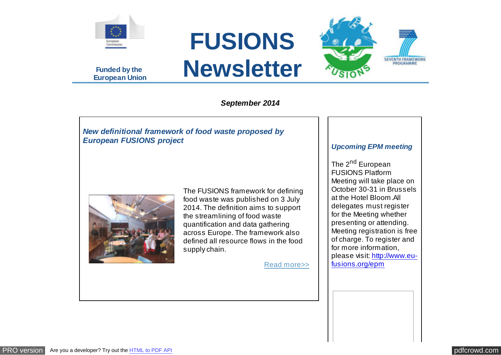

**Funded by the European Union**





## *September 2014*

# *New definitional framework of food waste proposed by European FUSIONS project*



The FUSIONS framework for defining food waste was published on 3 July 2014. The definition aims to support the streamlining of food waste quantification and data gathering across Europe. The framework also defined all resource flows in the food supply chain.

[Read more>>](http://www.eu-fusions.org/news/1)

#### *Upcoming EPM meeting*

The 2<sup>nd</sup> European FUSIONS Platform Meeting will take place on October 30-31 in Brussels at the Hotel Bloom.All delegates must register for the Meeting whether presenting or attending. Meeting registration is free of charge. To register and for more information, [please visit: http://www.eu](http://www.eu-fusions.org/epm)fusions.org/epm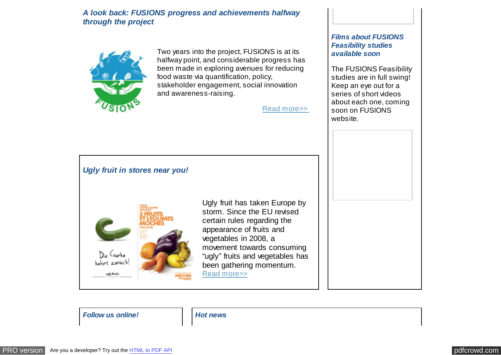### *A look back: FUSIONS progress and achievements halfway through the project*



Two years into the project, FUSIONS is at its halfway point, and considerable progress has been made in exploring avenues for reducing food waste via quantification, policy, stakeholder engagement, social innovation and awareness-raising.

[Read more>>](http://www.eu-fusions.org/news/2) 

#### *Films about FUSIONS Feasibility studies available soon*

The FUSIONS Feasibility studies are in full swing! Keep an eye out for a series of short videos about each one, coming soon on FUSIONS website.



*Follow us online! Hot news*